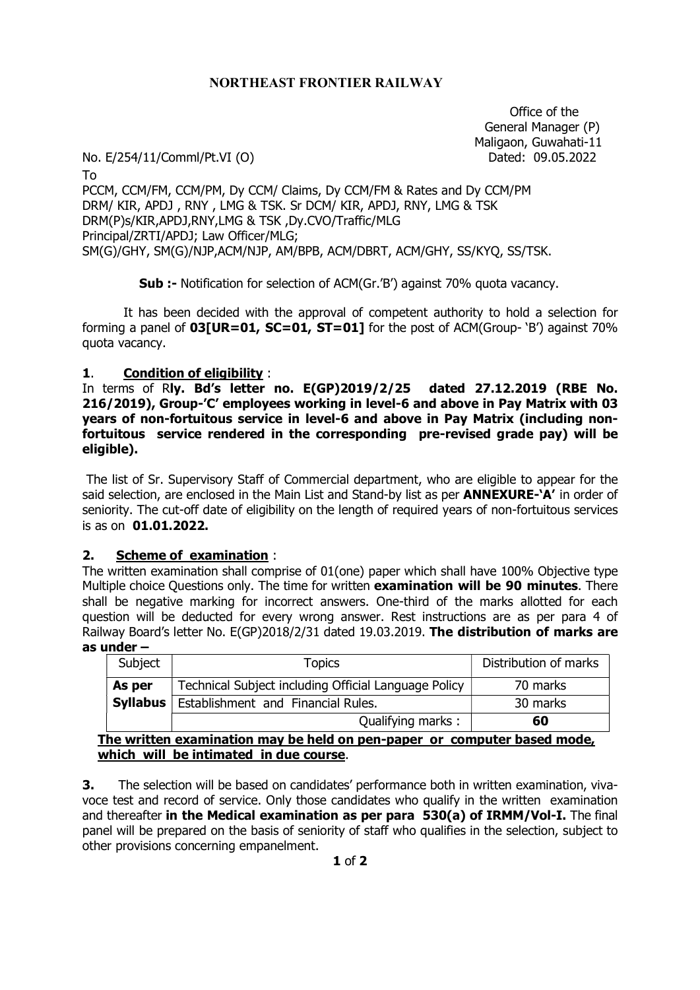### NORTHEAST FRONTIER RAILWAY

 Office of the General Manager (P) Maligaon, Guwahati-11

No. E/254/11/Comml/Pt.VI (O) Dated: 09.05.2022

To PCCM, CCM/FM, CCM/PM, Dy CCM/ Claims, Dy CCM/FM & Rates and Dy CCM/PM DRM/ KIR, APDJ , RNY , LMG & TSK. Sr DCM/ KIR, APDJ, RNY, LMG & TSK DRM(P)s/KIR,APDJ,RNY,LMG & TSK ,Dy.CVO/Traffic/MLG Principal/ZRTI/APDJ; Law Officer/MLG; SM(G)/GHY, SM(G)/NJP,ACM/NJP, AM/BPB, ACM/DBRT, ACM/GHY, SS/KYQ, SS/TSK.

Sub :- Notification for selection of ACM(Gr.'B') against 70% quota vacancy.

It has been decided with the approval of competent authority to hold a selection for forming a panel of  $03[UR=01, SC=01, ST=01]$  for the post of ACM(Group- 'B') against 70% quota vacancy.

#### 1. Condition of eligibility :

In terms of Rly. Bd's letter no. E(GP)2019/2/25 dated 27.12.2019 (RBE No. 216/2019), Group-'C' employees working in level-6 and above in Pay Matrix with 03 years of non-fortuitous service in level-6 and above in Pay Matrix (including nonfortuitous service rendered in the corresponding pre-revised grade pay) will be eligible).

 The list of Sr. Supervisory Staff of Commercial department, who are eligible to appear for the said selection, are enclosed in the Main List and Stand-by list as per **ANNEXURE-'A'** in order of seniority. The cut-off date of eligibility on the length of required years of non-fortuitous services is as on 01.01.2022.

#### 2. Scheme of examination :

The written examination shall comprise of 01(one) paper which shall have 100% Objective type Multiple choice Questions only. The time for written **examination will be 90 minutes**. There shall be negative marking for incorrect answers. One-third of the marks allotted for each question will be deducted for every wrong answer. Rest instructions are as per para 4 of Railway Board's letter No. E(GP)2018/2/31 dated 19.03.2019. The distribution of marks are as under –

|                                                                          | Subject         | Topics                                               | Distribution of marks |  |
|--------------------------------------------------------------------------|-----------------|------------------------------------------------------|-----------------------|--|
| As per                                                                   |                 | Technical Subject including Official Language Policy | 70 marks              |  |
|                                                                          | <b>Syllabus</b> | Establishment and Financial Rules.                   | 30 marks              |  |
|                                                                          |                 | Qualifying marks:                                    | 60                    |  |
| The written examination may be held on pen-paper or computer based mode, |                 |                                                      |                       |  |

which will be intimated in due course.

**3.** The selection will be based on candidates' performance both in written examination, vivavoce test and record of service. Only those candidates who qualify in the written examination and thereafter in the Medical examination as per para 530(a) of IRMM/Vol-I. The final panel will be prepared on the basis of seniority of staff who qualifies in the selection, subject to other provisions concerning empanelment.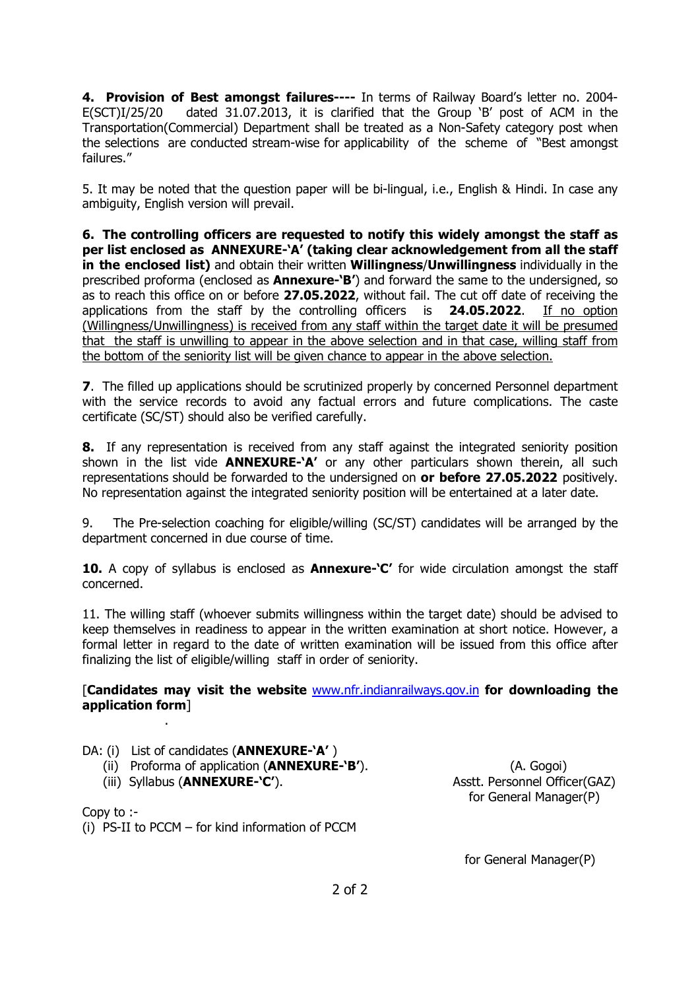4. Provision of Best amongst failures---- In terms of Railway Board's letter no. 2004-E(SCT)I/25/20 dated 31.07.2013, it is clarified that the Group 'B' post of ACM in the Transportation(Commercial) Department shall be treated as a Non-Safety category post when the selections are conducted stream-wise for applicability of the scheme of "Best amongst failures."

5. It may be noted that the question paper will be bi-lingual, i.e., English & Hindi. In case any ambiguity, English version will prevail.

6. The controlling officers are requested to notify this widely amongst the staff as per list enclosed as ANNEXURE-'A' (taking clear acknowledgement from all the staff in the enclosed list) and obtain their written Willingness/Unwillingness individually in the prescribed proforma (enclosed as **Annexure-'B'**) and forward the same to the undersigned, so as to reach this office on or before 27.05.2022, without fail. The cut off date of receiving the applications from the staff by the controlling officers is 24.05.2022. If no option (Willingness/Unwillingness) is received from any staff within the target date it will be presumed that the staff is unwilling to appear in the above selection and in that case, willing staff from the bottom of the seniority list will be given chance to appear in the above selection.

**7.** The filled up applications should be scrutinized properly by concerned Personnel department with the service records to avoid any factual errors and future complications. The caste certificate (SC/ST) should also be verified carefully.

8. If any representation is received from any staff against the integrated seniority position shown in the list vide **ANNEXURE-'A'** or any other particulars shown therein, all such representations should be forwarded to the undersigned on or before 27.05.2022 positively. No representation against the integrated seniority position will be entertained at a later date.

9. The Pre-selection coaching for eligible/willing (SC/ST) candidates will be arranged by the department concerned in due course of time.

10. A copy of syllabus is enclosed as **Annexure-'C'** for wide circulation amongst the staff concerned.

11. The willing staff (whoever submits willingness within the target date) should be advised to keep themselves in readiness to appear in the written examination at short notice. However, a formal letter in regard to the date of written examination will be issued from this office after finalizing the list of eligible/willing staff in order of seniority.

## [Candidates may visit the website www.nfr.indianrailways.gov.in for downloading the application form]

DA: (i) List of candidates (**ANNEXURE-'A'**)

- (ii) Proforma of application (**ANNEXURE-'B'**). (A. Gogoi)
- (iii) Syllabus (ANNEXURE-'C'). Asstt. Personnel Officer(GAZ)

.

for General Manager(P)

Copy to :-

(i) PS-II to PCCM – for kind information of PCCM

for General Manager(P)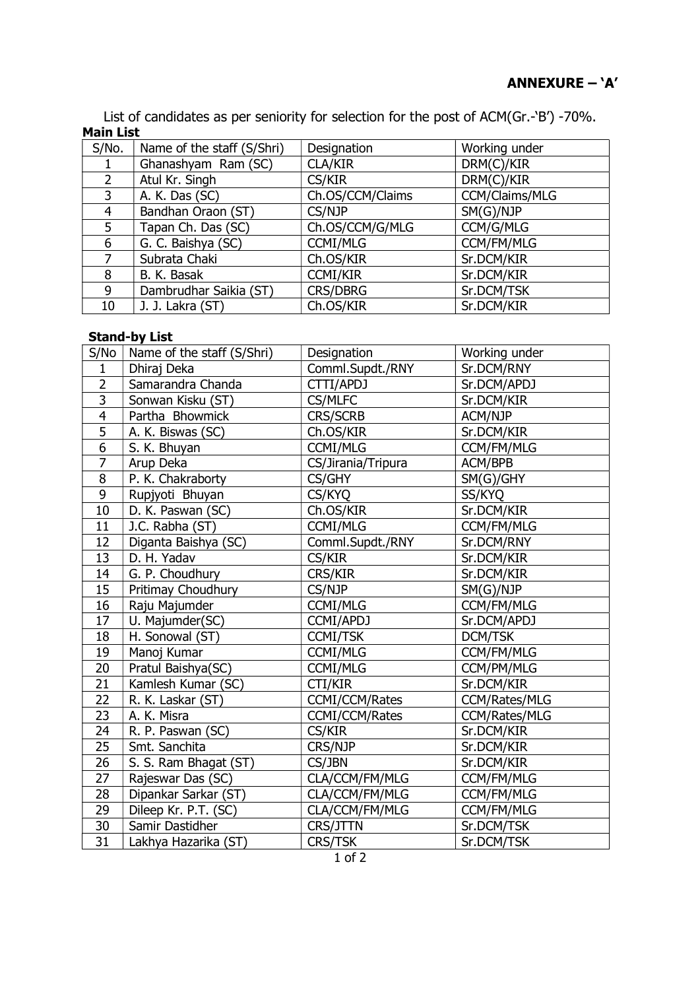List of candidates as per seniority for selection for the post of ACM(Gr.-'B') -70%. Main List

| S/No. | Name of the staff (S/Shri) | Designation      | Working under  |
|-------|----------------------------|------------------|----------------|
|       | Ghanashyam Ram (SC)        | <b>CLA/KIR</b>   | DRM(C)/KIR     |
|       | Atul Kr. Singh             | CS/KIR           | DRM(C)/KIR     |
| 3     | A. K. Das (SC)             | Ch.OS/CCM/Claims | CCM/Claims/MLG |
| 4     | Bandhan Oraon (ST)         | CS/NJP           | SM(G)/NJP      |
| 5     | Tapan Ch. Das (SC)         | Ch.OS/CCM/G/MLG  | CCM/G/MLG      |
| 6     | G. C. Baishya (SC)         | <b>CCMI/MLG</b>  | CCM/FM/MLG     |
|       | Subrata Chaki              | Ch.OS/KIR        | Sr.DCM/KIR     |
| 8     | B. K. Basak                | <b>CCMI/KIR</b>  | Sr.DCM/KIR     |
| 9     | Dambrudhar Saikia (ST)     | <b>CRS/DBRG</b>  | Sr.DCM/TSK     |
| 10    | J. J. Lakra (ST)           | Ch.OS/KIR        | Sr.DCM/KIR     |

#### Stand-by List

| S/No            | Name of the staff (S/Shri) | Designation           | Working under        |
|-----------------|----------------------------|-----------------------|----------------------|
| $\mathbf{1}$    | Dhiraj Deka                | Comml.Supdt./RNY      | Sr.DCM/RNY           |
| $\overline{2}$  | Samarandra Chanda          | CTTI/APDJ             | Sr.DCM/APDJ          |
| $\overline{3}$  | Sonwan Kisku (ST)          | <b>CS/MLFC</b>        | Sr.DCM/KIR           |
| 4               | Partha Bhowmick            | <b>CRS/SCRB</b>       | ACM/NJP              |
| $\overline{5}$  | A. K. Biswas (SC)          | Ch.OS/KIR             | Sr.DCM/KIR           |
| $\overline{6}$  | S. K. Bhuyan               | <b>CCMI/MLG</b>       | <b>CCM/FM/MLG</b>    |
| 7               | Arup Deka                  | CS/Jirania/Tripura    | ACM/BPB              |
| 8               | P. K. Chakraborty          | CS/GHY                | SM(G)/GHY            |
| 9               | Rupjyoti Bhuyan            | CS/KYQ                | SS/KYQ               |
| 10              | D. K. Paswan (SC)          | Ch.OS/KIR             | Sr.DCM/KIR           |
| 11              | J.C. Rabha (ST)            | <b>CCMI/MLG</b>       | CCM/FM/MLG           |
| 12              | Diganta Baishya (SC)       | Comml.Supdt./RNY      | Sr.DCM/RNY           |
| 13              | D. H. Yadav                | CS/KIR                | Sr.DCM/KIR           |
| 14              | G. P. Choudhury            | <b>CRS/KIR</b>        | Sr.DCM/KIR           |
| 15              | Pritimay Choudhury         | CS/NJP                | SM(G)/NJP            |
| 16              | Raju Majumder              | <b>CCMI/MLG</b>       | CCM/FM/MLG           |
| 17              | U. Majumder(SC)            | CCMI/APDJ             | Sr.DCM/APDJ          |
| 18              | H. Sonowal (ST)            | <b>CCMI/TSK</b>       | <b>DCM/TSK</b>       |
| 19              | Manoj Kumar                | <b>CCMI/MLG</b>       | CCM/FM/MLG           |
| 20              | Pratul Baishya(SC)         | <b>CCMI/MLG</b>       | CCM/PM/MLG           |
| 21              | Kamlesh Kumar (SC)         | CTI/KIR               | Sr.DCM/KIR           |
| 22              | R. K. Laskar (ST)          | <b>CCMI/CCM/Rates</b> | CCM/Rates/MLG        |
| 23              | A. K. Misra                | CCMI/CCM/Rates        | <b>CCM/Rates/MLG</b> |
| 24              | R. P. Paswan (SC)          | CS/KIR                | Sr.DCM/KIR           |
| 25              | Smt. Sanchita              | CRS/NJP               | Sr.DCM/KIR           |
| 26              | S. S. Ram Bhagat (ST)      | CS/JBN                | Sr.DCM/KIR           |
| 27              | Rajeswar Das (SC)          | CLA/CCM/FM/MLG        | CCM/FM/MLG           |
| 28              | Dipankar Sarkar (ST)       | CLA/CCM/FM/MLG        | CCM/FM/MLG           |
| 29              | Dileep Kr. P.T. (SC)       | CLA/CCM/FM/MLG        | CCM/FM/MLG           |
| 30              | Samir Dastidher            | CRS/JTTN              | Sr.DCM/TSK           |
| $\overline{31}$ | Lakhya Hazarika (ST)       | <b>CRS/TSK</b>        | Sr.DCM/TSK           |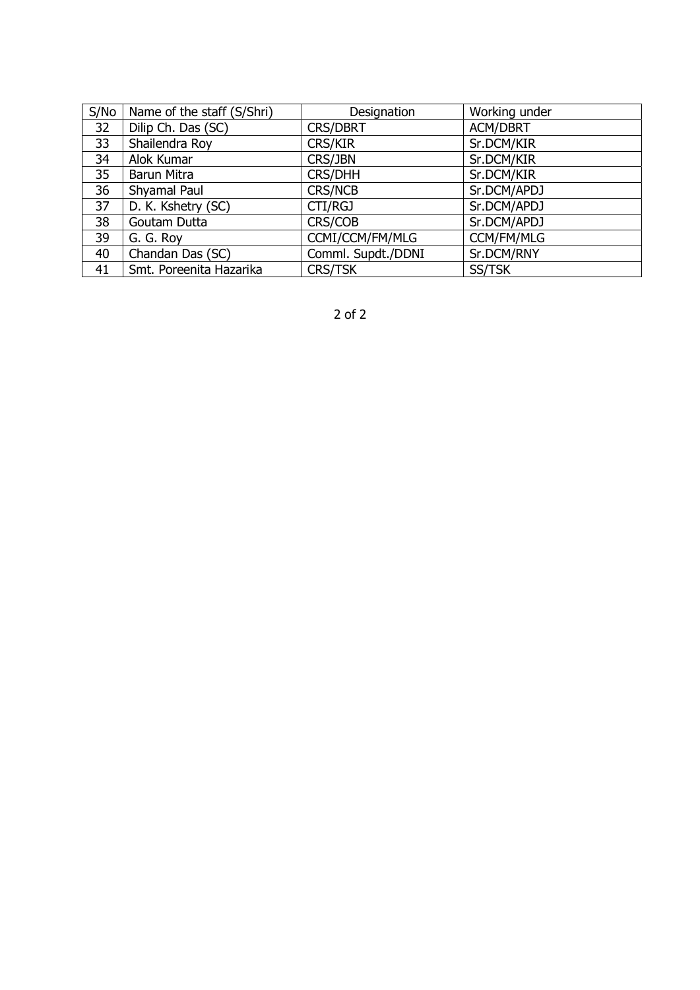| S/No | Name of the staff (S/Shri) | Designation        | Working under   |
|------|----------------------------|--------------------|-----------------|
| 32   | Dilip Ch. Das (SC)         | <b>CRS/DBRT</b>    | <b>ACM/DBRT</b> |
| 33   | Shailendra Roy             | <b>CRS/KIR</b>     | Sr.DCM/KIR      |
| 34   | Alok Kumar                 | CRS/JBN            | Sr.DCM/KIR      |
| 35   | Barun Mitra                | <b>CRS/DHH</b>     | Sr.DCM/KIR      |
| 36   | Shyamal Paul               | <b>CRS/NCB</b>     | Sr.DCM/APDJ     |
| 37   | D. K. Kshetry (SC)         | CTI/RGJ            | Sr.DCM/APDJ     |
| 38   | Goutam Dutta               | CRS/COB            | Sr.DCM/APDJ     |
| 39   | G. G. Roy                  | CCMI/CCM/FM/MLG    | CCM/FM/MLG      |
| 40   | Chandan Das (SC)           | Comml. Supdt./DDNI | Sr.DCM/RNY      |
| 41   | Smt. Poreenita Hazarika    | <b>CRS/TSK</b>     | SS/TSK          |

2 of 2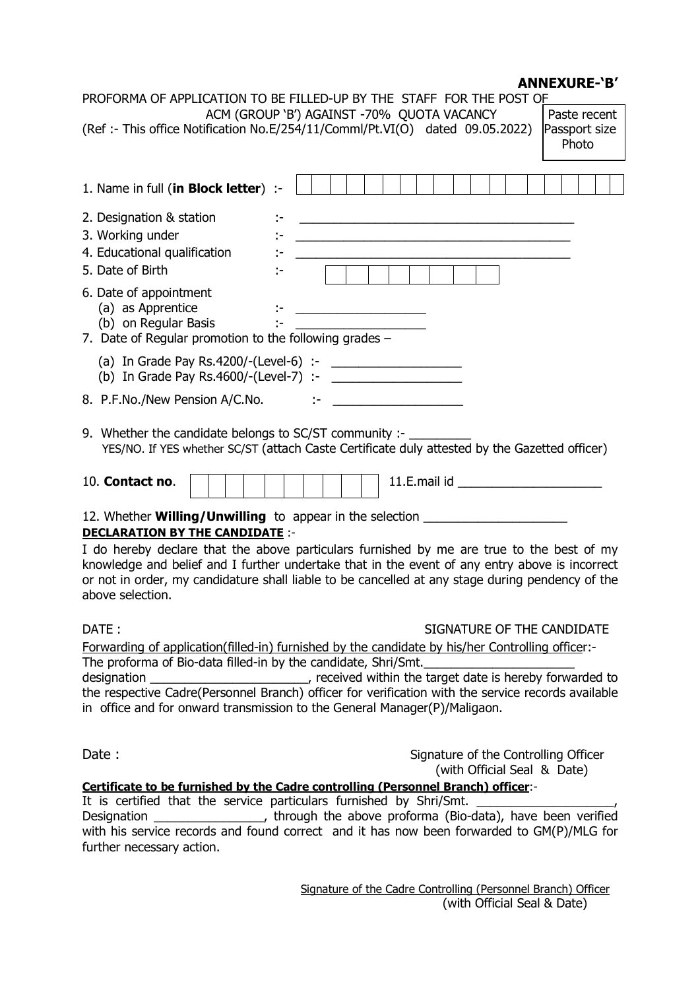# ANNEXURE-'B'

| PROFORMA OF APPLICATION TO BE FILLED-UP BY THE STAFF FOR THE POST OF                                                                                                                                                                                                                                                                                                                                                                                                                                                                                                                                                                                                                                                                                                                                                                                                                                                                                                                       |
|--------------------------------------------------------------------------------------------------------------------------------------------------------------------------------------------------------------------------------------------------------------------------------------------------------------------------------------------------------------------------------------------------------------------------------------------------------------------------------------------------------------------------------------------------------------------------------------------------------------------------------------------------------------------------------------------------------------------------------------------------------------------------------------------------------------------------------------------------------------------------------------------------------------------------------------------------------------------------------------------|
| ACM (GROUP 'B') AGAINST -70% QUOTA VACANCY<br>Paste recent<br>(Ref :- This office Notification No.E/254/11/Comml/Pt.VI(O) dated 09.05.2022)<br>Passport size<br>Photo                                                                                                                                                                                                                                                                                                                                                                                                                                                                                                                                                                                                                                                                                                                                                                                                                      |
|                                                                                                                                                                                                                                                                                                                                                                                                                                                                                                                                                                                                                                                                                                                                                                                                                                                                                                                                                                                            |
| 1. Name in full (in Block letter) :-                                                                                                                                                                                                                                                                                                                                                                                                                                                                                                                                                                                                                                                                                                                                                                                                                                                                                                                                                       |
| 2. Designation & station<br><u> 1989 - Johann Barbara, martin amerikan basar dan berasal dalam basa dalam basar dalam basar dalam basa dalam</u><br>3. Working under<br><u> 1989 - Johann Barn, mars ann an t-Amhain ann an t-Amhain an t-Amhain ann an t-Amhain an t-Amhain ann an t-Amh</u><br>4. Educational qualification<br>5. Date of Birth<br>6. Date of appointment<br>(a) as Apprentice<br>÷.<br><u> Alexandria (Carlos Compositor Carlos Compositor Carlos Carlos Carlos Carlos Carlos Carlos Carlos Carlos Carlos Carlos Carlos Carlos Carlos Carlos Carlos Carlos Carlos Carlos Carlos Carlos Carlos Carlos Carlos Carlos Carl</u><br>(b) on Regular Basis<br>7. Date of Regular promotion to the following grades $-$<br>8. P.F.No./New Pension A/C.No.<br>$\sim$<br><u> 1990 - Johann Barbara, martin a</u><br>9. Whether the candidate belongs to SC/ST community :- _____<br>YES/NO. If YES whether SC/ST (attach Caste Certificate duly attested by the Gazetted officer) |
|                                                                                                                                                                                                                                                                                                                                                                                                                                                                                                                                                                                                                                                                                                                                                                                                                                                                                                                                                                                            |
| 10. Contact no.                                                                                                                                                                                                                                                                                                                                                                                                                                                                                                                                                                                                                                                                                                                                                                                                                                                                                                                                                                            |
| 12. Whether <b>Willing/Unwilling</b> to appear in the selection ______________________<br><b>DECLARATION BY THE CANDIDATE:-</b><br>I do hereby declare that the above particulars furnished by me are true to the best of my<br>knowledge and belief and I further undertake that in the event of any entry above is incorrect<br>or not in order, my candidature shall liable to be cancelled at any stage during pendency of the<br>above selection.                                                                                                                                                                                                                                                                                                                                                                                                                                                                                                                                     |
| DATE:<br>SIGNATURE OF THE CANDIDATE<br>Forwarding of application(filled-in) furnished by the candidate by his/her Controlling officer:-<br>The proforma of Bio-data filled-in by the candidate, Shri/Smt.<br>the respective Cadre(Personnel Branch) officer for verification with the service records available<br>in office and for onward transmission to the General Manager(P)/Maligaon.                                                                                                                                                                                                                                                                                                                                                                                                                                                                                                                                                                                               |
| Date:<br>Signature of the Controlling Officer<br>(with Official Seal & Date)<br>Certificate to be furnished by the Cadre controlling (Personnel Branch) officer:-                                                                                                                                                                                                                                                                                                                                                                                                                                                                                                                                                                                                                                                                                                                                                                                                                          |
| It is certified that the service particulars furnished by Shri/Smt.                                                                                                                                                                                                                                                                                                                                                                                                                                                                                                                                                                                                                                                                                                                                                                                                                                                                                                                        |
| Designation ___________________, through the above proforma (Bio-data), have been verified<br>with his service records and found correct and it has now been forwarded to GM(P)/MLG for                                                                                                                                                                                                                                                                                                                                                                                                                                                                                                                                                                                                                                                                                                                                                                                                    |

further necessary action.

 Signature of the Cadre Controlling (Personnel Branch) Officer (with Official Seal & Date)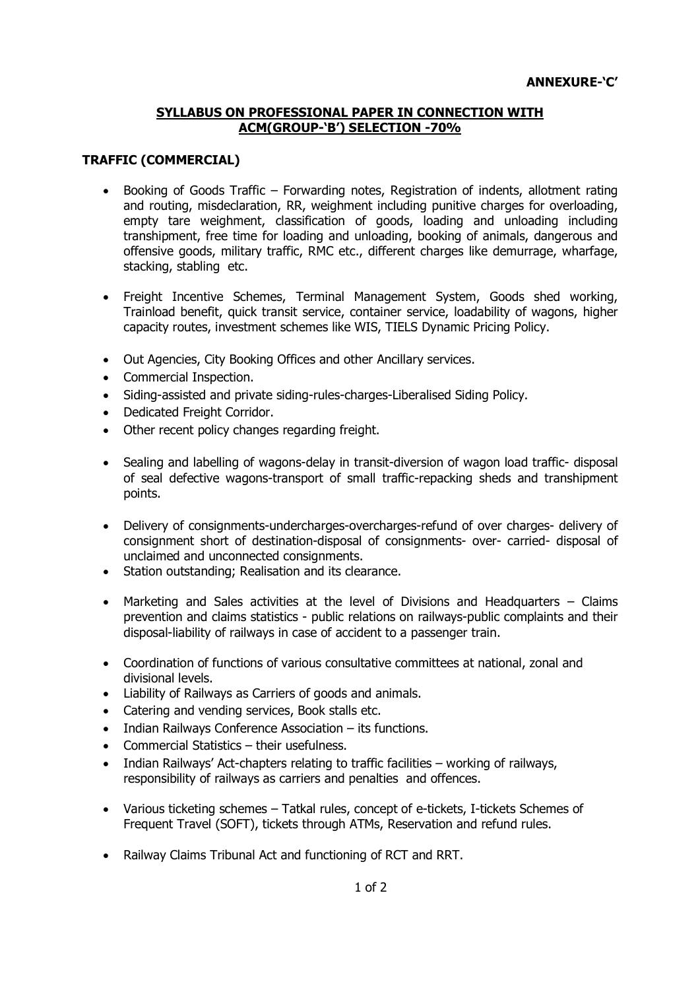#### SYLLABUS ON PROFESSIONAL PAPER IN CONNECTION WITH ACM(GROUP-'B') SELECTION -70%

#### TRAFFIC (COMMERCIAL)

- Booking of Goods Traffic Forwarding notes, Registration of indents, allotment rating and routing, misdeclaration, RR, weighment including punitive charges for overloading, empty tare weighment, classification of goods, loading and unloading including transhipment, free time for loading and unloading, booking of animals, dangerous and offensive goods, military traffic, RMC etc., different charges like demurrage, wharfage, stacking, stabling etc.
- Freight Incentive Schemes, Terminal Management System, Goods shed working, Trainload benefit, quick transit service, container service, loadability of wagons, higher capacity routes, investment schemes like WIS, TIELS Dynamic Pricing Policy.
- Out Agencies, City Booking Offices and other Ancillary services.
- Commercial Inspection.
- Siding-assisted and private siding-rules-charges-Liberalised Siding Policy.
- Dedicated Freight Corridor.
- Other recent policy changes regarding freight.
- Sealing and labelling of wagons-delay in transit-diversion of wagon load traffic- disposal of seal defective wagons-transport of small traffic-repacking sheds and transhipment points.
- Delivery of consignments-undercharges-overcharges-refund of over charges- delivery of consignment short of destination-disposal of consignments- over- carried- disposal of unclaimed and unconnected consignments.
- Station outstanding; Realisation and its clearance.
- Marketing and Sales activities at the level of Divisions and Headquarters Claims prevention and claims statistics - public relations on railways-public complaints and their disposal-liability of railways in case of accident to a passenger train.
- Coordination of functions of various consultative committees at national, zonal and divisional levels.
- Liability of Railways as Carriers of goods and animals.
- Catering and vending services, Book stalls etc.
- Indian Railways Conference Association its functions.
- Commercial Statistics their usefulness.
- Indian Railways' Act-chapters relating to traffic facilities working of railways, responsibility of railways as carriers and penalties and offences.
- Various ticketing schemes Tatkal rules, concept of e-tickets, I-tickets Schemes of Frequent Travel (SOFT), tickets through ATMs, Reservation and refund rules.
- Railway Claims Tribunal Act and functioning of RCT and RRT.